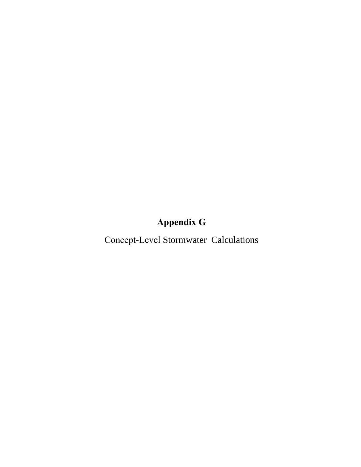# **Appendix G**

Concept-Level Stormwater Calculations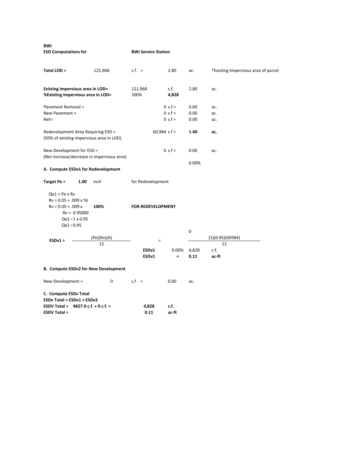**BWI**

**ESD Computations for BWI Service Station**

| Total LOD =                                                                                                                       | 121,968     | $s.f. =$                               | 2.80              | ac.           | *Existing Impervious area of parcel |
|-----------------------------------------------------------------------------------------------------------------------------------|-------------|----------------------------------------|-------------------|---------------|-------------------------------------|
| Existing impervious area in LOD=<br>%Existing impervious area in LOD=                                                             |             | 121,968<br>100%                        | s.f.<br>4,828     | 2.80          | ac.                                 |
| Pavement Removal =                                                                                                                |             |                                        | $0 s.f =$         | 0.00          | ac.                                 |
| New Pavement =                                                                                                                    |             |                                        | $0 s.f =$         | 0.00          | ac.                                 |
| $Net=$                                                                                                                            |             |                                        | $0 s.f =$         | 0.00          | ac.                                 |
| Redevelopment Area Requiring ESD =<br>(50% of existing impervious area in LOD)                                                    |             | $60,984$ s.f =                         |                   | 1.40          | ac.                                 |
| New Development for ESD =<br>(Net increase/decrease in impervious area)                                                           |             |                                        | $0 s.f =$         | 0.00          | ac.                                 |
| A. Compute ESDv1 for Redevelopment                                                                                                |             |                                        |                   | 0.00%         |                                     |
| Target Pe =<br>1.00                                                                                                               | inch        | for Redevelopment                      |                   |               |                                     |
| $Qe1 = Pe \times Rv$<br>$Rv = 0.05 + .009$ x %I<br>$Rv = 0.05 + 0.09x$<br>$Rv = 0.95000$<br>$Qe1 = 1 \times 0.95$<br>$Qe1 = 0.95$ | 100%        | FOR REDEVELOPMENT                      |                   |               |                                     |
|                                                                                                                                   |             |                                        |                   | 0             |                                     |
|                                                                                                                                   | (Pe)(Rv)(A) |                                        |                   |               | (1)(0.95)(60984)                    |
| $ESDv1 =$                                                                                                                         | 12          | $=$                                    |                   |               | 12                                  |
|                                                                                                                                   |             | ESD <sub>v1</sub><br>ESD <sub>v1</sub> | 0.00%<br>$\equiv$ | 4,828<br>0.11 | c.f.<br>ac-ft                       |
| <b>B. Compute ESDv2 for New Development</b>                                                                                       |             |                                        |                   |               |                                     |
| New Development =                                                                                                                 | $\mathbf 0$ | $s.f. =$                               | 0.00              | ac.           |                                     |

**C. Compute ESDv Total ESDv Total = ESDv1 + ESDv2 ESDV Total =** 4827.9 **c.f. +** 0 **c.f. = 1,828 c.f. ESDV Total = 0.11 ac-ft ESDV Total = 0.11 ac‐ft**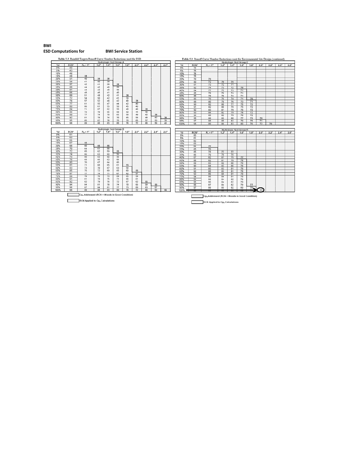#### BWI **ESD Computations for BWI Service Station**

Table 5.3 Rainfall Targets/Runoff Curve Number Reductions used for ESD

Table 5.3 Runoff Curve Number Reductions used for Environmental Site De



 $\Box$ RCN Applied to Cpy Calculations Е RCN Applied to Cpy Calculations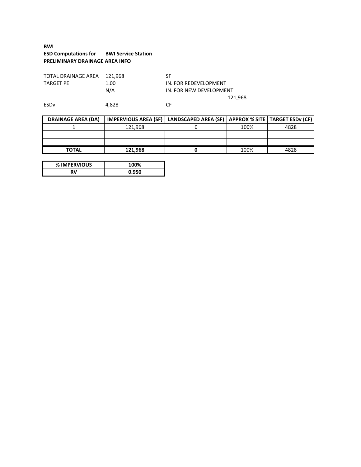# **BWI ESD Computations for BWI Service Station PRELIMINARY DRAINAGE AREA INFO**

| TOTAL DRAINAGE AREA 121.968 |      | SF |
|-----------------------------|------|----|
| <b>TARGET PE</b>            | 1.00 | ΙN |
|                             | N/A  | ΙN |

IN. FOR REDEVELOPMENT IN. FOR NEW DEVELOPMENT 121,968

ESDv 4,828 CF

| <b>DRAINAGE AREA (DA)</b> |         | IMPERVIOUS AREA (SF)   LANDSCAPED AREA (SF)   APPROX % SITE   TARGET ESDv (CF) |      |      |
|---------------------------|---------|--------------------------------------------------------------------------------|------|------|
|                           | 121.968 |                                                                                | 100% | 4828 |
|                           |         |                                                                                |      |      |
|                           |         |                                                                                |      |      |
| <b>TOTAL</b>              | 121.968 |                                                                                | 100% | 4828 |

| % IMPERVIOUS | '00%  |
|--------------|-------|
| RV.          | 0.950 |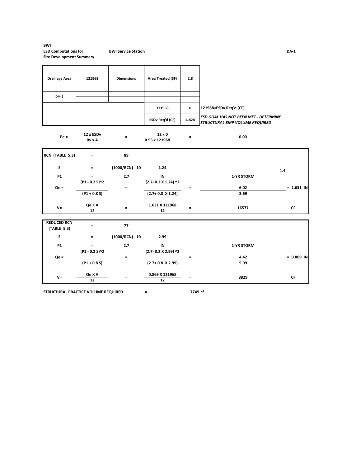### **BWI ESD Computations for BWI Service Station DA‐1 Site Development Summary**

| <b>Drainage Area</b>              | 121968                     | <b>Dimensions</b> | Area Treated (SF)              | 2.8         |                                                                         |              |
|-----------------------------------|----------------------------|-------------------|--------------------------------|-------------|-------------------------------------------------------------------------|--------------|
| $DA-1$                            |                            |                   |                                |             |                                                                         |              |
|                                   |                            |                   | 121968                         | $\mathbf 0$ | 121968 <esdv (cf)<="" req'd="" td=""><td></td></esdv>                   |              |
|                                   |                            |                   | ESDv Req'd (CF)                | 4,828       | ESD GOAL HAS NOT BEEN MET - DETERMINE<br>STRUCTURAL BMP VOLUME REQUIRED |              |
| $Pe =$                            | 12 x ESDv<br><b>Rv x A</b> | $\equiv$          | $12 \times 0$<br>0.95 x 121968 | $\equiv$    | 0.00                                                                    |              |
| RCN (TABLE 5.3)                   | $\equiv$                   | 89                |                                |             |                                                                         |              |
| S                                 | $\equiv$                   | $(1000/RCN) - 10$ | 1.24                           |             | 1.4                                                                     |              |
| <b>P1</b>                         | $=$<br>(P1 - 0.2 S)^2      | 2.7               | IN<br>(2.7-0.2 X 1.24) ^2      |             | 1-YR STORM                                                              |              |
| $Qe =$                            | $(P1 + 0.8 S)$             | $\equiv$          | $(2.7 + 0.8 \times 1.24)$      | $=$         | 6.02<br>3.69                                                            | $= 1.631$ IN |
| $V =$                             | Qe X A<br>12               | $\equiv$          | 1.631 X 121968<br>12           | $=$         | 16577                                                                   | <b>CF</b>    |
| <b>REDUCED RCN</b><br>(TABLE 5.3) | $\equiv$                   | 77                |                                |             |                                                                         |              |
| S                                 | $\equiv$                   | $(1000/RCN) - 10$ | 2.99                           |             |                                                                         |              |
| <b>P1</b>                         | $=$<br>(P1 - 0.2 S)^2      | 2.7               | IN<br>(2.7-0.2 X 2.99) ^2      |             | 1-YR STORM                                                              |              |
| $Qe =$                            | $(P1 + 0.8 S)$             | $\equiv$          | $(2.7 + 0.8 \times 2.99)$      | $\equiv$    | 4.42<br>5.09                                                            | $= 0.869$ IN |
| $V =$                             | Qe X A<br>12               | $\equiv$          | 0.869 X 121968<br>12           | $\equiv$    | 8829                                                                    | CF           |

**STRUCTURAL PRACTICE VOLUME REQUIRED = 7749 cf**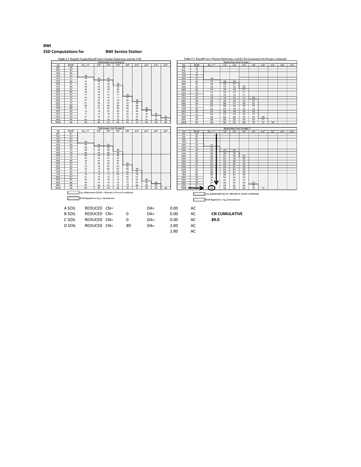## **BWI ESD Computations for BWI Service Station**

Table 5.3 Rainfall Targets/Runoff Curve Nt nber Reductions used for ESD